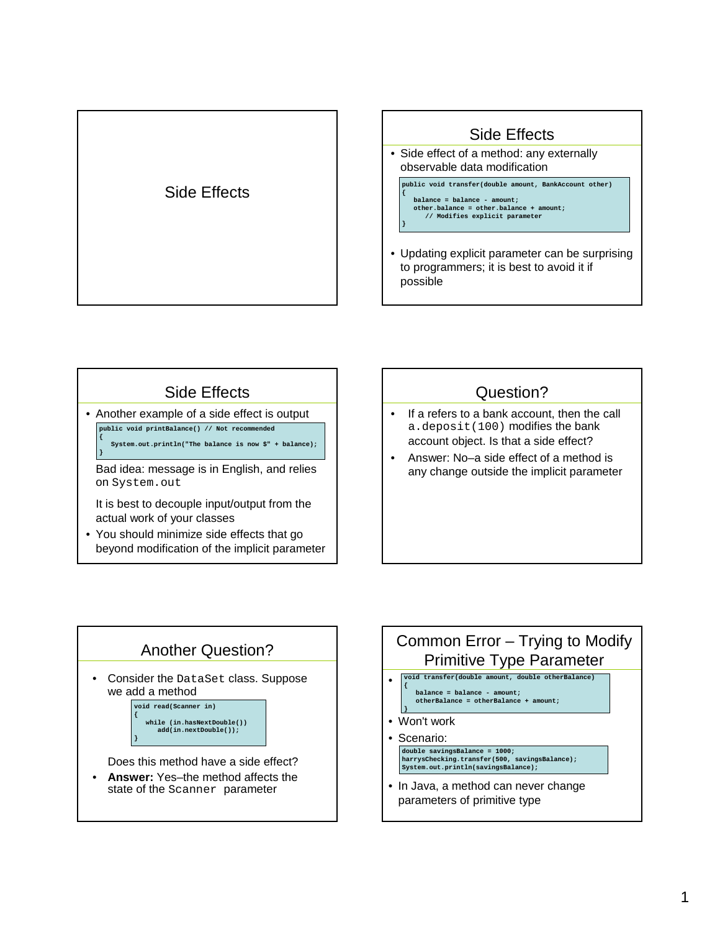

## Side Effects

• Side effect of a method: any externally observable data modification

**}** 

**public void transfer(double amount, BankAccount other) { balance = balance - amount; other.balance = other.balance + amount; // Modifies explicit parameter**

• Updating explicit parameter can be surprising to programmers; it is best to avoid it if possible

## Side Effects

• Another example of a side effect is output **public void printBalance() // Not recommended {**

**System.out.println("The balance is now \$" + balance); }**

Bad idea: message is in English, and relies on System.out

It is best to decouple input/output from the actual work of your classes

• You should minimize side effects that go beyond modification of the implicit parameter

## Question?

- If a refers to a bank account, then the call a.deposit(100) modifies the bank account object. Is that a side effect?
- Answer: No–a side effect of a method is any change outside the implicit parameter



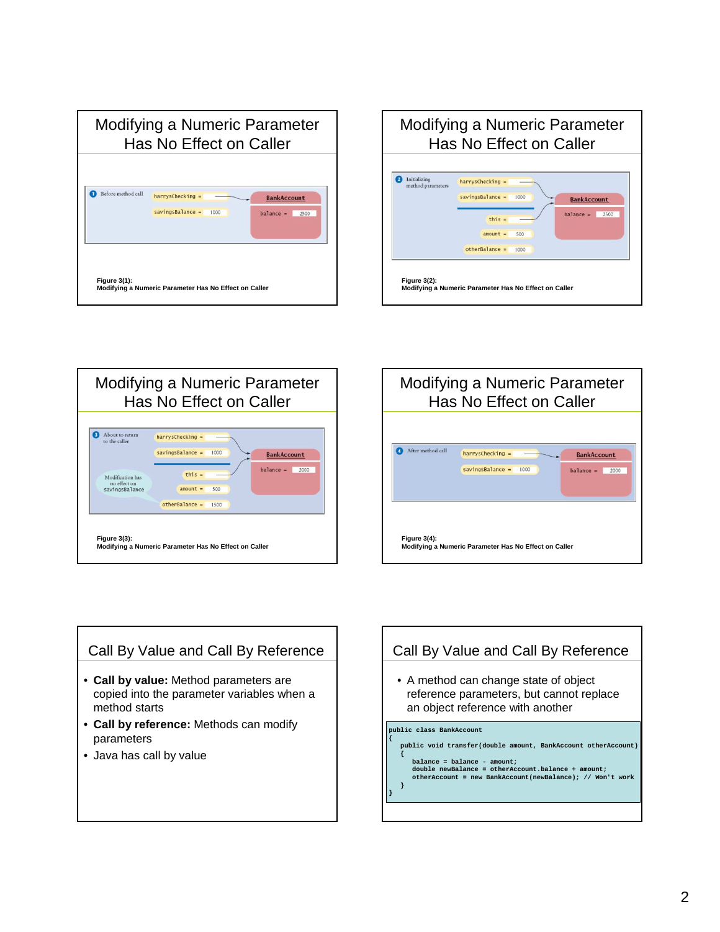







## Call By Value and Call By Reference

- **Call by value:** Method parameters are copied into the parameter variables when a method starts
- **Call by reference:** Methods can modify parameters
- Java has call by value